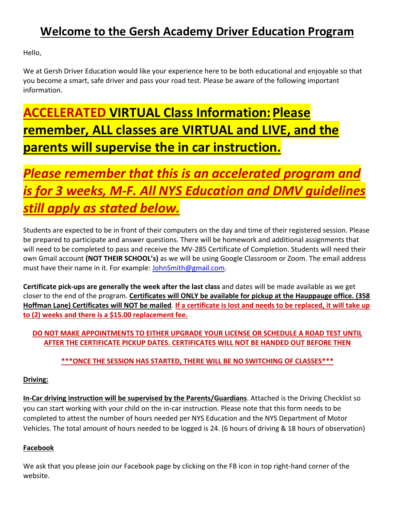# **Welcome to the Gersh Academy Driver Education Program**

Hello,

We at Gersh Driver Education would like your experience here to be both educational and enjoyable so that you become a smart, safe driver and pass your road test. Please be aware of the following important information.

# **ACCELERATED VIRTUAL Class Information:Please remember, ALL classes are VIRTUAL and LIVE, and the parents will supervise the in car instruction.**

# *Please remember that this is an accelerated program and is for 3 weeks, M-F. All NYS Education and DMV guidelines still apply as stated below.*

Students are expected to be in front of their computers on the day and time of their registered session. Please be prepared to participate and answer questions. There will be homework and additional assignments that will need to be completed to pass and receive the MV-285 Certificate of Completion. Students will need their own Gmail account **(NOT THEIR SCHOOL's)** as we will be using Google Classroom or Zoom. The email address must have their name in it. For example: [JohnSmith@gmail.com.](mailto:JohnSmith@gmail.com)

**Certificate pick-ups are generally the week after the last class** and dates will be made available as we get closer to the end of the program. **Certificates will ONLY be available for pickup at the Hauppauge office. (358 Hoffman Lane) Certificates will NOT be mailed**. **If a certificate is lost and needs to be replaced, it will take up to (2) weeks and there is a \$15.00 replacement fee.**

# **DO NOT MAKE APPOINTMENTS TO EITHER UPGRADE YOUR LICENSE OR SCHEDULE A ROAD TEST UNTIL AFTER THE CERTIFICATE PICKUP DATES. CERTIFICATES WILL NOT BE HANDED OUT BEFORE THEN**

# **\*\*\*ONCE THE SESSION HAS STARTED, THERE WILL BE NO SWITCHING OF CLASSES\*\*\***

# **Driving:**

**In-Car driving instruction will be supervised by the Parents/Guardians**. Attached is the Driving Checklist so you can start working with your child on the in-car instruction. Please note that this form needs to be completed to attest the number of hours needed per NYS Education and the NYS Department of Motor Vehicles. The total amount of hours needed to be logged is 24. (6 hours of driving & 18 hours of observation)

# **Facebook**

We ask that you please join our Facebook page by clicking on the FB icon in top right-hand corner of the website.